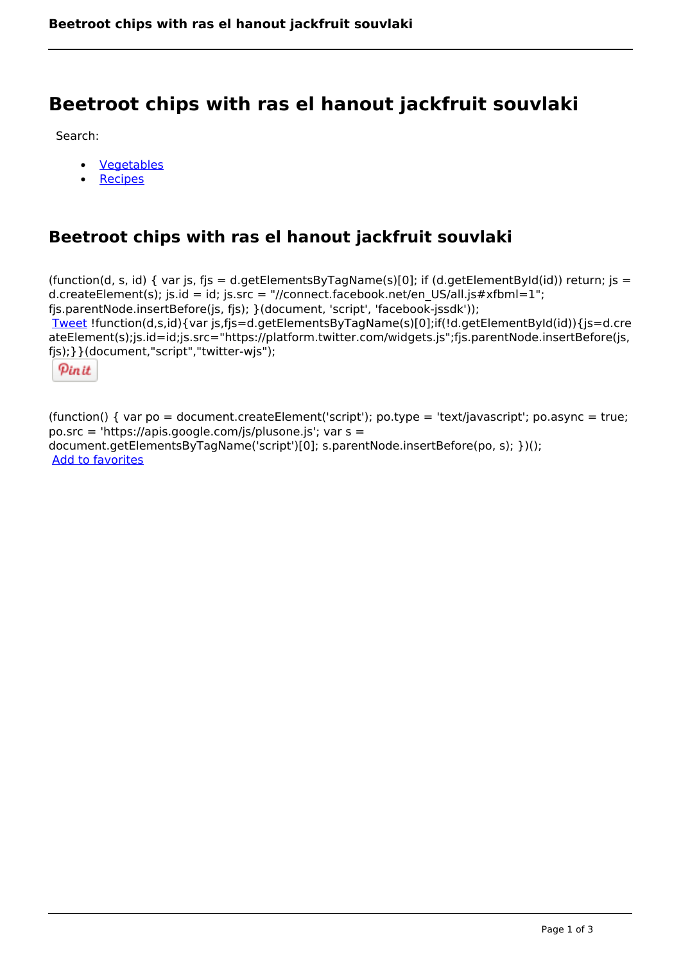# **Beetroot chips with ras el hanout jackfruit souvlaki**

Search:

- [Vegetables](https://www.naturalhealthmag.com.au/nourish/veg)  $\bullet$
- [Recipes](https://www.naturalhealthmag.com.au/nourish/recipes)

## **Beetroot chips with ras el hanout jackfruit souvlaki**

(function(d, s, id) { var js, fjs = d.getElementsByTagName(s)[0]; if (d.getElementById(id)) return; js = d.createElement(s); js.id = id; js.src = "//connect.facebook.net/en\_US/all.js#xfbml=1"; fjs.parentNode.insertBefore(js, fjs); }(document, 'script', 'facebook-jssdk')); [Tweet](https://twitter.com/share) !function(d,s,id){var js,fjs=d.getElementsByTagName(s)[0];if(!d.getElementById(id)){js=d.cre ateElement(s);js.id=id;js.src="https://platform.twitter.com/widgets.js";fjs.parentNode.insertBefore(js, fjs);}}(document,"script","twitter-wjs");

Pinit

(function() { var po = document.createElement('script'); po.type = 'text/javascript'; po.async = true; po.src = 'https://apis.google.com/js/plusone.js'; var s = document.getElementsByTagName('script')[0]; s.parentNode.insertBefore(po, s); })(); Add to favorites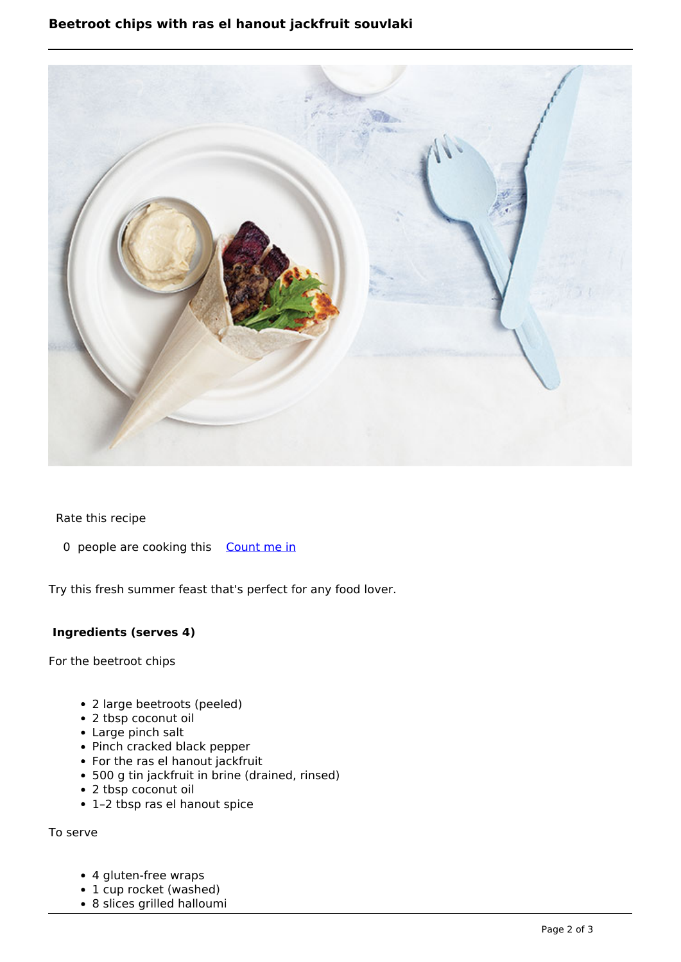## **Beetroot chips with ras el hanout jackfruit souvlaki**



Rate this recipe

0 people are cooking this [Count me in](https://www.naturalhealthmag.com.au/flag/flag/favorites/1866?destination=printpdf%2F1866&token=0ef534a4f33fc3b2467fb842979a1d3e)

Try this fresh summer feast that's perfect for any food lover.

### **Ingredients (serves 4)**

For the beetroot chips

- 2 large beetroots (peeled)
- 2 tbsp coconut oil
- Large pinch salt
- Pinch cracked black pepper
- For the ras el hanout jackfruit
- 500 g tin jackfruit in brine (drained, rinsed)
- 2 tbsp coconut oil
- 1–2 tbsp ras el hanout spice

To serve

- 4 gluten-free wraps
- 1 cup rocket (washed)
- 8 slices grilled halloumi